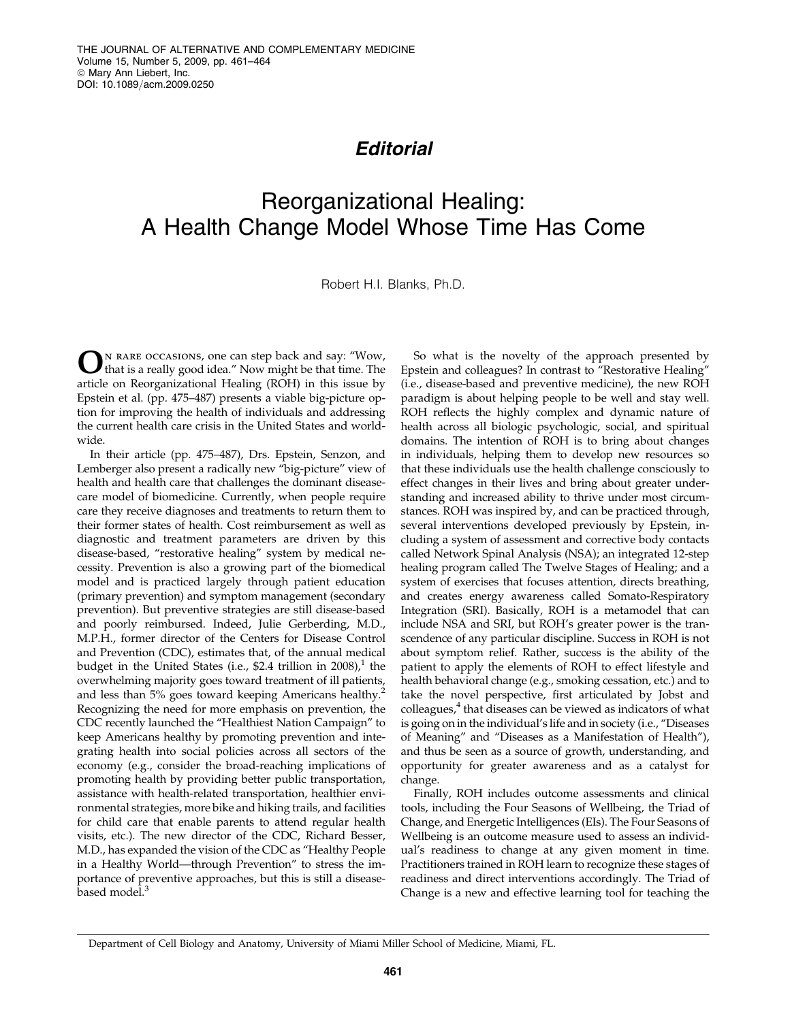## **Editorial**

# Reorganizational Healing: A Health Change Model Whose Time Has Come

Robert H.I. Blanks, Ph.D.

**O**<sup>N</sup> RARE OCCASIONS, one can step back and say: "Wow, that is a really good idea." Now might be that time. The article on Reorganizational Healing (ROH) in this issue by Epstein et al. (pp. 475–487) presents a viable big-picture option for improving the health of individuals and addressing the current health care crisis in the United States and worldwide.

In their article (pp. 475–487), Drs. Epstein, Senzon, and Lemberger also present a radically new ''big-picture'' view of health and health care that challenges the dominant diseasecare model of biomedicine. Currently, when people require care they receive diagnoses and treatments to return them to their former states of health. Cost reimbursement as well as diagnostic and treatment parameters are driven by this disease-based, ''restorative healing'' system by medical necessity. Prevention is also a growing part of the biomedical model and is practiced largely through patient education (primary prevention) and symptom management (secondary prevention). But preventive strategies are still disease-based and poorly reimbursed. Indeed, Julie Gerberding, M.D., M.P.H., former director of the Centers for Disease Control and Prevention (CDC), estimates that, of the annual medical budget in the United States (i.e., \$2.4 trillion in 2008), $^1$  the overwhelming majority goes toward treatment of ill patients, and less than 5% goes toward keeping Americans healthy.<sup>2</sup> Recognizing the need for more emphasis on prevention, the CDC recently launched the ''Healthiest Nation Campaign'' to keep Americans healthy by promoting prevention and integrating health into social policies across all sectors of the economy (e.g., consider the broad-reaching implications of promoting health by providing better public transportation, assistance with health-related transportation, healthier environmental strategies, more bike and hiking trails, and facilities for child care that enable parents to attend regular health visits, etc.). The new director of the CDC, Richard Besser, M.D., has expanded the vision of the CDC as ''Healthy People in a Healthy World—through Prevention'' to stress the importance of preventive approaches, but this is still a diseasebased model.<sup>3</sup>

So what is the novelty of the approach presented by Epstein and colleagues? In contrast to ''Restorative Healing'' (i.e., disease-based and preventive medicine), the new ROH paradigm is about helping people to be well and stay well. ROH reflects the highly complex and dynamic nature of health across all biologic psychologic, social, and spiritual domains. The intention of ROH is to bring about changes in individuals, helping them to develop new resources so that these individuals use the health challenge consciously to effect changes in their lives and bring about greater understanding and increased ability to thrive under most circumstances. ROH was inspired by, and can be practiced through, several interventions developed previously by Epstein, including a system of assessment and corrective body contacts called Network Spinal Analysis (NSA); an integrated 12-step healing program called The Twelve Stages of Healing; and a system of exercises that focuses attention, directs breathing, and creates energy awareness called Somato-Respiratory Integration (SRI). Basically, ROH is a metamodel that can include NSA and SRI, but ROH's greater power is the transcendence of any particular discipline. Success in ROH is not about symptom relief. Rather, success is the ability of the patient to apply the elements of ROH to effect lifestyle and health behavioral change (e.g., smoking cessation, etc.) and to take the novel perspective, first articulated by Jobst and colleagues,<sup>4</sup> that diseases can be viewed as indicators of what is going on in the individual's life and in society (i.e., ''Diseases of Meaning'' and ''Diseases as a Manifestation of Health''), and thus be seen as a source of growth, understanding, and opportunity for greater awareness and as a catalyst for change.

Finally, ROH includes outcome assessments and clinical tools, including the Four Seasons of Wellbeing, the Triad of Change, and Energetic Intelligences (EIs). The Four Seasons of Wellbeing is an outcome measure used to assess an individual's readiness to change at any given moment in time. Practitioners trained in ROH learn to recognize these stages of readiness and direct interventions accordingly. The Triad of Change is a new and effective learning tool for teaching the

Department of Cell Biology and Anatomy, University of Miami Miller School of Medicine, Miami, FL.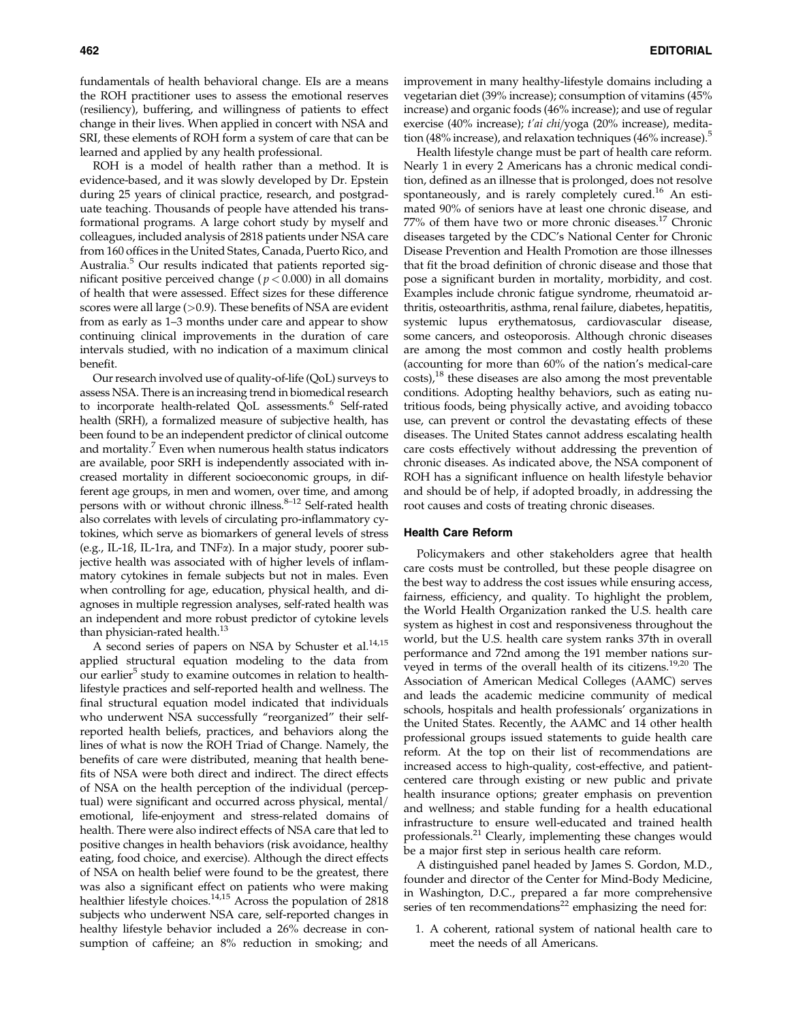fundamentals of health behavioral change. EIs are a means the ROH practitioner uses to assess the emotional reserves (resiliency), buffering, and willingness of patients to effect change in their lives. When applied in concert with NSA and SRI, these elements of ROH form a system of care that can be learned and applied by any health professional.

ROH is a model of health rather than a method. It is evidence-based, and it was slowly developed by Dr. Epstein during 25 years of clinical practice, research, and postgraduate teaching. Thousands of people have attended his transformational programs. A large cohort study by myself and colleagues, included analysis of 2818 patients under NSA care from 160 offices in the United States, Canada, Puerto Rico, and Australia.<sup>5</sup> Our results indicated that patients reported significant positive perceived change ( $p < 0.000$ ) in all domains of health that were assessed. Effect sizes for these difference scores were all large (>0.9). These benefits of NSA are evident from as early as 1–3 months under care and appear to show continuing clinical improvements in the duration of care intervals studied, with no indication of a maximum clinical benefit.

Our research involved use of quality-of-life (QoL) surveys to assess NSA. There is an increasing trend in biomedical research to incorporate health-related QoL assessments.<sup>6</sup> Self-rated health (SRH), a formalized measure of subjective health, has been found to be an independent predictor of clinical outcome and mortality.<sup>7</sup> Even when numerous health status indicators are available, poor SRH is independently associated with increased mortality in different socioeconomic groups, in different age groups, in men and women, over time, and among persons with or without chronic illness.8–12 Self-rated health also correlates with levels of circulating pro-inflammatory cytokines, which serve as biomarkers of general levels of stress (e.g., IL-1ß, IL-1ra, and TNF*a*). In a major study, poorer subjective health was associated with of higher levels of inflammatory cytokines in female subjects but not in males. Even when controlling for age, education, physical health, and diagnoses in multiple regression analyses, self-rated health was an independent and more robust predictor of cytokine levels than physician-rated health. $^{13}$ 

A second series of papers on NSA by Schuster et al.<sup>14,15</sup> applied structural equation modeling to the data from our earlier<sup>5</sup> study to examine outcomes in relation to healthlifestyle practices and self-reported health and wellness. The final structural equation model indicated that individuals who underwent NSA successfully "reorganized" their selfreported health beliefs, practices, and behaviors along the lines of what is now the ROH Triad of Change. Namely, the benefits of care were distributed, meaning that health benefits of NSA were both direct and indirect. The direct effects of NSA on the health perception of the individual (perceptual) were significant and occurred across physical, mental/ emotional, life-enjoyment and stress-related domains of health. There were also indirect effects of NSA care that led to positive changes in health behaviors (risk avoidance, healthy eating, food choice, and exercise). Although the direct effects of NSA on health belief were found to be the greatest, there was also a significant effect on patients who were making healthier lifestyle choices.<sup>14,15</sup> Across the population of 2818 subjects who underwent NSA care, self-reported changes in healthy lifestyle behavior included a 26% decrease in consumption of caffeine; an 8% reduction in smoking; and

improvement in many healthy-lifestyle domains including a vegetarian diet (39% increase); consumption of vitamins (45% increase) and organic foods (46% increase); and use of regular exercise (40% increase);  $t'ai \frac{chi}{\gamma}$ oga (20% increase), meditation (48% increase), and relaxation techniques (46% increase). $\delta$ 

Health lifestyle change must be part of health care reform. Nearly 1 in every 2 Americans has a chronic medical condition, defined as an illnesse that is prolonged, does not resolve spontaneously, and is rarely completely cured.<sup>16</sup> An estimated 90% of seniors have at least one chronic disease, and 77% of them have two or more chronic diseases. $17$  Chronic diseases targeted by the CDC's National Center for Chronic Disease Prevention and Health Promotion are those illnesses that fit the broad definition of chronic disease and those that pose a significant burden in mortality, morbidity, and cost. Examples include chronic fatigue syndrome, rheumatoid arthritis, osteoarthritis, asthma, renal failure, diabetes, hepatitis, systemic lupus erythematosus, cardiovascular disease, some cancers, and osteoporosis. Although chronic diseases are among the most common and costly health problems (accounting for more than 60% of the nation's medical-care  $\csc(2)$ ,<sup>18</sup> these diseases are also among the most preventable conditions. Adopting healthy behaviors, such as eating nutritious foods, being physically active, and avoiding tobacco use, can prevent or control the devastating effects of these diseases. The United States cannot address escalating health care costs effectively without addressing the prevention of chronic diseases. As indicated above, the NSA component of ROH has a significant influence on health lifestyle behavior and should be of help, if adopted broadly, in addressing the root causes and costs of treating chronic diseases.

#### Health Care Reform

Policymakers and other stakeholders agree that health care costs must be controlled, but these people disagree on the best way to address the cost issues while ensuring access, fairness, efficiency, and quality. To highlight the problem, the World Health Organization ranked the U.S. health care system as highest in cost and responsiveness throughout the world, but the U.S. health care system ranks 37th in overall performance and 72nd among the 191 member nations surveyed in terms of the overall health of its citizens.<sup>19,20</sup> The Association of American Medical Colleges (AAMC) serves and leads the academic medicine community of medical schools, hospitals and health professionals' organizations in the United States. Recently, the AAMC and 14 other health professional groups issued statements to guide health care reform. At the top on their list of recommendations are increased access to high-quality, cost-effective, and patientcentered care through existing or new public and private health insurance options; greater emphasis on prevention and wellness; and stable funding for a health educational infrastructure to ensure well-educated and trained health professionals.<sup>21</sup> Clearly, implementing these changes would be a major first step in serious health care reform.

A distinguished panel headed by James S. Gordon, M.D., founder and director of the Center for Mind-Body Medicine, in Washington, D.C., prepared a far more comprehensive series of ten recommendations<sup>22</sup> emphasizing the need for:

1. A coherent, rational system of national health care to meet the needs of all Americans.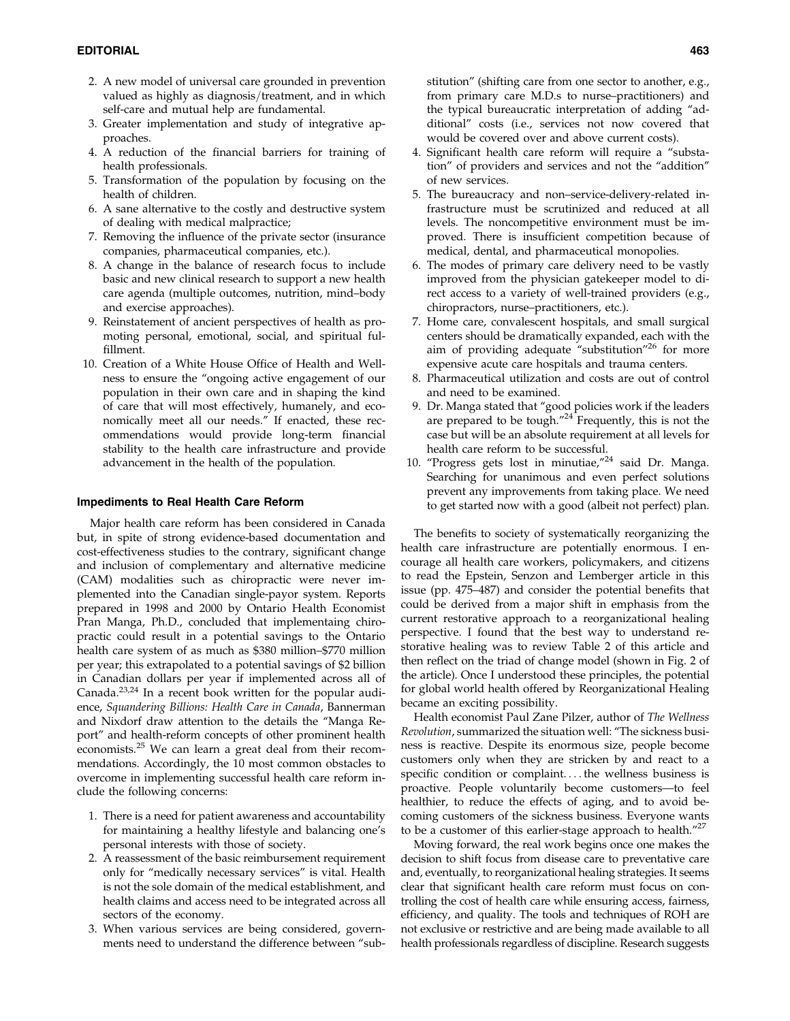- 2. A new model of universal care grounded in prevention valued as highly as diagnosis/treatment, and in which self-care and mutual help are fundamental.
- 3. Greater implementation and study of integrative approaches.
- 4. A reduction of the financial barriers for training of health professionals.
- 5. Transformation of the population by focusing on the health of children.
- 6. A sane alternative to the costly and destructive system of dealing with medical malpractice;
- 7. Removing the influence of the private sector (insurance companies, pharmaceutical companies, etc.).
- 8. A change in the balance of research focus to include basic and new clinical research to support a new health care agenda (multiple outcomes, nutrition, mind–body and exercise approaches).
- 9. Reinstatement of ancient perspectives of health as promoting personal, emotional, social, and spiritual fulfillment.
- 10. Creation of a White House Office of Health and Wellness to ensure the ''ongoing active engagement of our population in their own care and in shaping the kind of care that will most effectively, humanely, and economically meet all our needs.'' If enacted, these recommendations would provide long-term financial stability to the health care infrastructure and provide advancement in the health of the population.

#### Impediments to Real Health Care Reform

Major health care reform has been considered in Canada but, in spite of strong evidence-based documentation and cost-effectiveness studies to the contrary, significant change and inclusion of complementary and alternative medicine (CAM) modalities such as chiropractic were never implemented into the Canadian single-payor system. Reports prepared in 1998 and 2000 by Ontario Health Economist Pran Manga, Ph.D., concluded that implementaing chiropractic could result in a potential savings to the Ontario health care system of as much as \$380 million–\$770 million per year; this extrapolated to a potential savings of \$2 billion in Canadian dollars per year if implemented across all of Canada.23,24 In a recent book written for the popular audience, Squandering Billions: Health Care in Canada, Bannerman and Nixdorf draw attention to the details the ''Manga Report'' and health-reform concepts of other prominent health economists.<sup>25</sup> We can learn a great deal from their recommendations. Accordingly, the 10 most common obstacles to overcome in implementing successful health care reform include the following concerns:

- 1. There is a need for patient awareness and accountability for maintaining a healthy lifestyle and balancing one's personal interests with those of society.
- 2. A reassessment of the basic reimbursement requirement only for ''medically necessary services'' is vital. Health is not the sole domain of the medical establishment, and health claims and access need to be integrated across all sectors of the economy.
- 3. When various services are being considered, governments need to understand the difference between ''sub-

stitution'' (shifting care from one sector to another, e.g., from primary care M.D.s to nurse–practitioners) and the typical bureaucratic interpretation of adding ''additional'' costs (i.e., services not now covered that would be covered over and above current costs).

- 4. Significant health care reform will require a ''substation'' of providers and services and not the ''addition'' of new services.
- 5. The bureaucracy and non–service-delivery-related infrastructure must be scrutinized and reduced at all levels. The noncompetitive environment must be improved. There is insufficient competition because of medical, dental, and pharmaceutical monopolies.
- 6. The modes of primary care delivery need to be vastly improved from the physician gatekeeper model to direct access to a variety of well-trained providers (e.g., chiropractors, nurse–practitioners, etc.).
- 7. Home care, convalescent hospitals, and small surgical centers should be dramatically expanded, each with the aim of providing adequate "substitution"<sup>26</sup> for more expensive acute care hospitals and trauma centers.
- 8. Pharmaceutical utilization and costs are out of control and need to be examined.
- 9. Dr. Manga stated that ''good policies work if the leaders are prepared to be tough."<sup>24</sup> Frequently, this is not the case but will be an absolute requirement at all levels for health care reform to be successful.
- 10. "Progress gets lost in minutiae," $^{24}$  said Dr. Manga. Searching for unanimous and even perfect solutions prevent any improvements from taking place. We need to get started now with a good (albeit not perfect) plan.

The benefits to society of systematically reorganizing the health care infrastructure are potentially enormous. I encourage all health care workers, policymakers, and citizens to read the Epstein, Senzon and Lemberger article in this issue (pp. 475–487) and consider the potential benefits that could be derived from a major shift in emphasis from the current restorative approach to a reorganizational healing perspective. I found that the best way to understand restorative healing was to review Table 2 of this article and then reflect on the triad of change model (shown in Fig. 2 of the article). Once I understood these principles, the potential for global world health offered by Reorganizational Healing became an exciting possibility.

Health economist Paul Zane Pilzer, author of The Wellness Revolution, summarized the situation well: ''The sickness business is reactive. Despite its enormous size, people become customers only when they are stricken by and react to a specific condition or complaint. ... the wellness business is proactive. People voluntarily become customers—to feel healthier, to reduce the effects of aging, and to avoid becoming customers of the sickness business. Everyone wants to be a customer of this earlier-stage approach to health."<sup>27</sup>

Moving forward, the real work begins once one makes the decision to shift focus from disease care to preventative care and, eventually, to reorganizational healing strategies. It seems clear that significant health care reform must focus on controlling the cost of health care while ensuring access, fairness, efficiency, and quality. The tools and techniques of ROH are not exclusive or restrictive and are being made available to all health professionals regardless of discipline. Research suggests